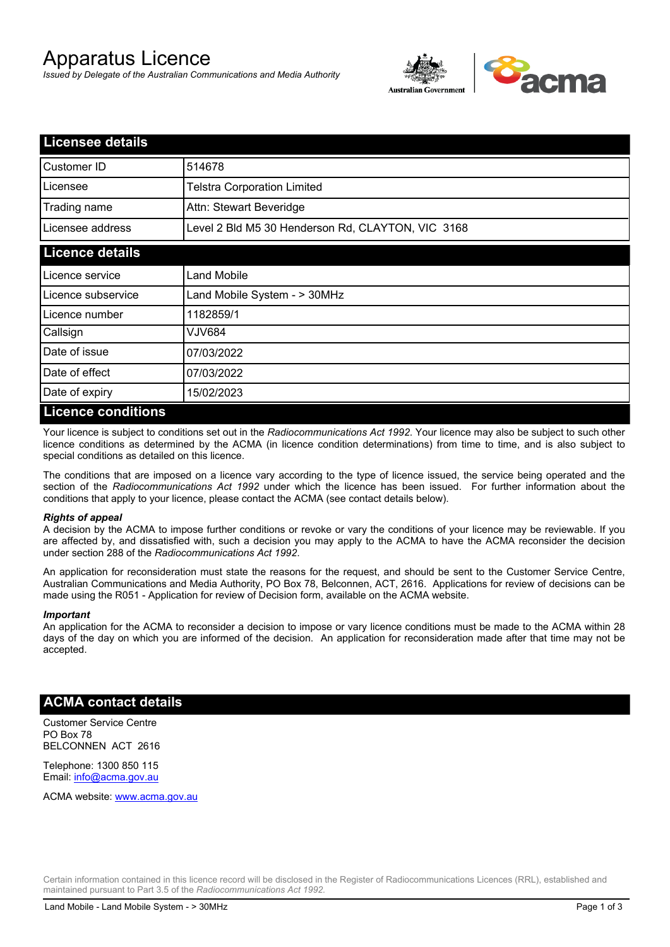# Apparatus Licence

*Issued by Delegate of the Australian Communications and Media Authority*



| <b>Licensee details</b> |                                                   |  |  |  |
|-------------------------|---------------------------------------------------|--|--|--|
| Customer ID             | 514678                                            |  |  |  |
| Licensee                | <b>Telstra Corporation Limited</b>                |  |  |  |
| Trading name            | Attn: Stewart Beveridge                           |  |  |  |
| Licensee address        | Level 2 Bld M5 30 Henderson Rd, CLAYTON, VIC 3168 |  |  |  |
| <b>Licence details</b>  |                                                   |  |  |  |
| Licence service         | Land Mobile                                       |  |  |  |
| Licence subservice      | Land Mobile System - > 30MHz                      |  |  |  |
| Licence number          | 1182859/1                                         |  |  |  |
| Callsign                | VJV684                                            |  |  |  |
| Date of issue           | 07/03/2022                                        |  |  |  |
| Date of effect          | 07/03/2022                                        |  |  |  |
| Date of expiry          | 15/02/2023                                        |  |  |  |
| Licance conditions      |                                                   |  |  |  |

#### **Licence conditions**

Your licence is subject to conditions set out in the *Radiocommunications Act 1992*. Your licence may also be subject to such other licence conditions as determined by the ACMA (in licence condition determinations) from time to time, and is also subject to special conditions as detailed on this licence.

The conditions that are imposed on a licence vary according to the type of licence issued, the service being operated and the section of the *Radiocommunications Act 1992* under which the licence has been issued. For further information about the conditions that apply to your licence, please contact the ACMA (see contact details below).

#### *Rights of appeal*

A decision by the ACMA to impose further conditions or revoke or vary the conditions of your licence may be reviewable. If you are affected by, and dissatisfied with, such a decision you may apply to the ACMA to have the ACMA reconsider the decision under section 288 of the *Radiocommunications Act 1992*.

An application for reconsideration must state the reasons for the request, and should be sent to the Customer Service Centre, Australian Communications and Media Authority, PO Box 78, Belconnen, ACT, 2616. Applications for review of decisions can be made using the R051 - Application for review of Decision form, available on the ACMA website.

#### *Important*

An application for the ACMA to reconsider a decision to impose or vary licence conditions must be made to the ACMA within 28 days of the day on which you are informed of the decision. An application for reconsideration made after that time may not be accepted.

### **ACMA contact details**

Customer Service Centre PO Box 78 BELCONNEN ACT 2616

Telephone: 1300 850 115 Email: info@acma.gov.au

ACMA website: www.acma.gov.au

Certain information contained in this licence record will be disclosed in the Register of Radiocommunications Licences (RRL), established and maintained pursuant to Part 3.5 of the *Radiocommunications Act 1992.*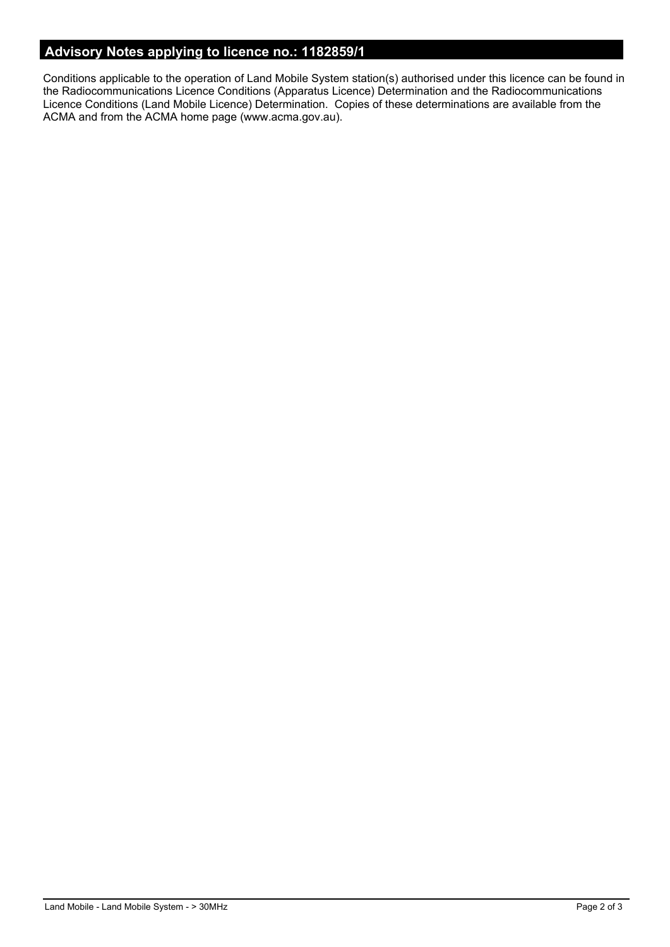## **Advisory Notes applying to licence no.: 1182859/1**

Conditions applicable to the operation of Land Mobile System station(s) authorised under this licence can be found in the Radiocommunications Licence Conditions (Apparatus Licence) Determination and the Radiocommunications Licence Conditions (Land Mobile Licence) Determination. Copies of these determinations are available from the ACMA and from the ACMA home page (www.acma.gov.au).